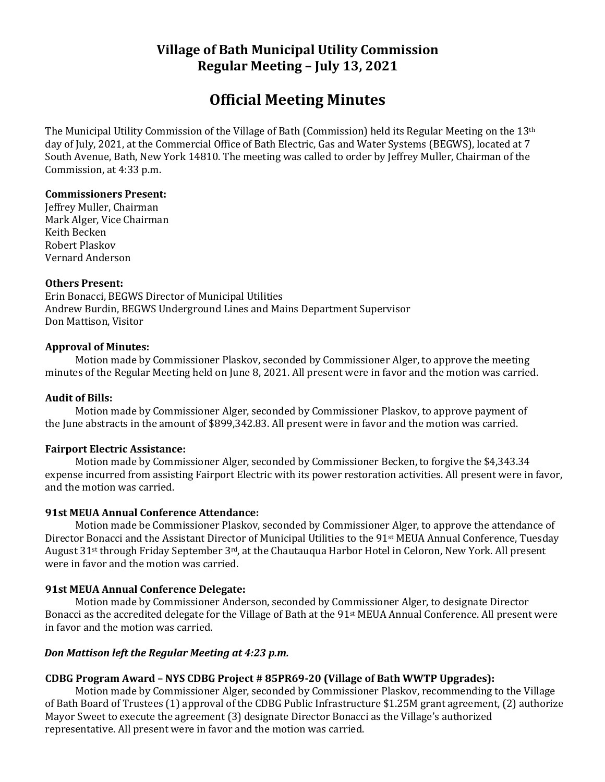# **Village of Bath Municipal Utility Commission Regular Meeting – July 13, 2021**

# **Official Meeting Minutes**

The Municipal Utility Commission of the Village of Bath (Commission) held its Regular Meeting on the 13th day of July, 2021, at the Commercial Office of Bath Electric, Gas and Water Systems (BEGWS), located at 7 South Avenue, Bath, New York 14810. The meeting was called to order by Jeffrey Muller, Chairman of the Commission, at 4:33 p.m.

## **Commissioners Present:**

Jeffrey Muller, Chairman Mark Alger, Vice Chairman Keith Becken Robert Plaskov Vernard Anderson

## **Others Present:**

Erin Bonacci, BEGWS Director of Municipal Utilities Andrew Burdin, BEGWS Underground Lines and Mains Department Supervisor Don Mattison, Visitor

## **Approval of Minutes:**

Motion made by Commissioner Plaskov, seconded by Commissioner Alger, to approve the meeting minutes of the Regular Meeting held on June 8, 2021. All present were in favor and the motion was carried.

#### **Audit of Bills:**

Motion made by Commissioner Alger, seconded by Commissioner Plaskov, to approve payment of the June abstracts in the amount of \$899,342.83. All present were in favor and the motion was carried.

#### **Fairport Electric Assistance:**

Motion made by Commissioner Alger, seconded by Commissioner Becken, to forgive the \$4,343.34 expense incurred from assisting Fairport Electric with its power restoration activities. All present were in favor, and the motion was carried.

#### **91st MEUA Annual Conference Attendance:**

Motion made be Commissioner Plaskov, seconded by Commissioner Alger, to approve the attendance of Director Bonacci and the Assistant Director of Municipal Utilities to the 91st MEUA Annual Conference, Tuesday August 31st through Friday September 3rd, at the Chautauqua Harbor Hotel in Celoron, New York. All present were in favor and the motion was carried.

## **91st MEUA Annual Conference Delegate:**

Motion made by Commissioner Anderson, seconded by Commissioner Alger, to designate Director Bonacci as the accredited delegate for the Village of Bath at the 91st MEUA Annual Conference. All present were in favor and the motion was carried.

## *Don Mattison left the Regular Meeting at 4:23 p.m.*

## **CDBG Program Award – NYS CDBG Project # 85PR69-20 (Village of Bath WWTP Upgrades):**

Motion made by Commissioner Alger, seconded by Commissioner Plaskov, recommending to the Village of Bath Board of Trustees (1) approval of the CDBG Public Infrastructure \$1.25M grant agreement, (2) authorize Mayor Sweet to execute the agreement (3) designate Director Bonacci as the Village's authorized representative. All present were in favor and the motion was carried.